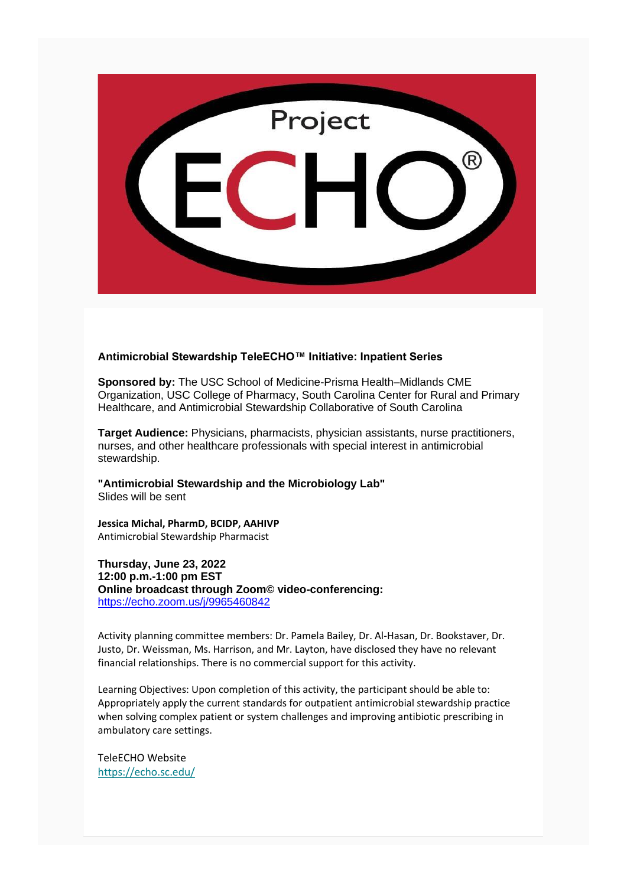

## **Antimicrobial Stewardship TeleECHO™ Initiative: Inpatient Series**

**Sponsored by:** The USC School of Medicine-Prisma Health–Midlands CME Organization, USC College of Pharmacy, South Carolina Center for Rural and Primary Healthcare, and Antimicrobial Stewardship Collaborative of South Carolina

**Target Audience:** Physicians, pharmacists, physician assistants, nurse practitioners, nurses, and other healthcare professionals with special interest in antimicrobial stewardship.

**"Antimicrobial Stewardship and the Microbiology Lab"** Slides will be sent

**Jessica Michal, PharmD, BCIDP, AAHIVP** Antimicrobial Stewardship Pharmacist

**Thursday, June 23, 2022 12:00 p.m.-1:00 pm EST Online broadcast through Zoom© video-conferencing:** <https://echo.zoom.us/j/9965460842>

Activity planning committee members: Dr. Pamela Bailey, Dr. Al-Hasan, Dr. Bookstaver, Dr. Justo, Dr. Weissman, Ms. Harrison, and Mr. Layton, have disclosed they have no relevant financial relationships. There is no commercial support for this activity.

Learning Objectives: Upon completion of this activity, the participant should be able to: Appropriately apply the current standards for outpatient antimicrobial stewardship practice when solving complex patient or system challenges and improving antibiotic prescribing in ambulatory care settings.

TeleECHO Website [https://echo.sc.edu/](https://nam02.safelinks.protection.outlook.com/?url=https%3A%2F%2Fuscmed.us5.list-manage.com%2Ftrack%2Fclick%3Fu%3D95ddda89741245cc420811fab%26id%3D97f239ca5b%26e%3D9ea583b202&data=05%7C01%7CANDER897%40cop.sc.edu%7Cae558345a99f4935ba0908da4fd04a7c%7C4b2a4b19d135420e8bb2b1cd238998cc%7C0%7C0%7C637910053271058407%7CUnknown%7CTWFpbGZsb3d8eyJWIjoiMC4wLjAwMDAiLCJQIjoiV2luMzIiLCJBTiI6Ik1haWwiLCJXVCI6Mn0%3D%7C3000%7C%7C%7C&sdata=iUZ6C75wAMj2leOyl6Y20ncmrExAt29jPU1Bxh6Zz4s%3D&reserved=0)